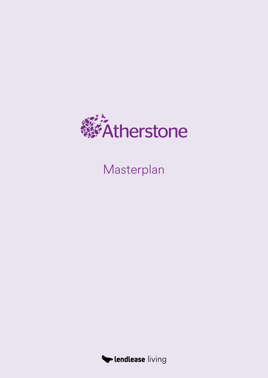

Masterplan

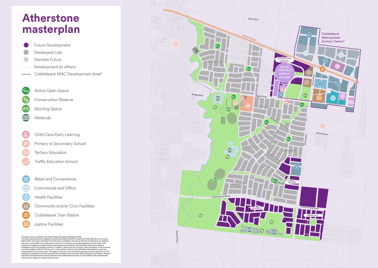## **Atherstone**



\*Proposed uses as outlined in the Urban Design Framework September 2019. This plan was produced by Lendlease Communities (Atherstone) Pty Limited 16 110 348 108 and is current as at March 2022. It has been produced from information available or forecast at the time of publication for guidance<br>only and is not an offer or an inducement to enter into a contract or any other agreement. Some items in this<br> responsibility for any inaccuracies. All images in this plan are for illustrative purposes and are indicative only. All<br>projections contained in this plan represent best estimates only as at April 2022. Prospective purchas which may be subject to change without notice.

- Development by others Future Development Developed Lots Denotes Future
- Cobblebank MAC Development Area\*
- Active Open Space
	- Conservation Reserve
	- Sporting Space
	- Wetlands
- Child Care/Early Learning
- Primary or Secondary School
- Tertiary Education
	- Traffic Education School
- Retail and Convenience
- Commercial and Office
- Health Facilities
- Community and/or Civic Facilities
- Cobblebank Train Station
- Justice Facilities